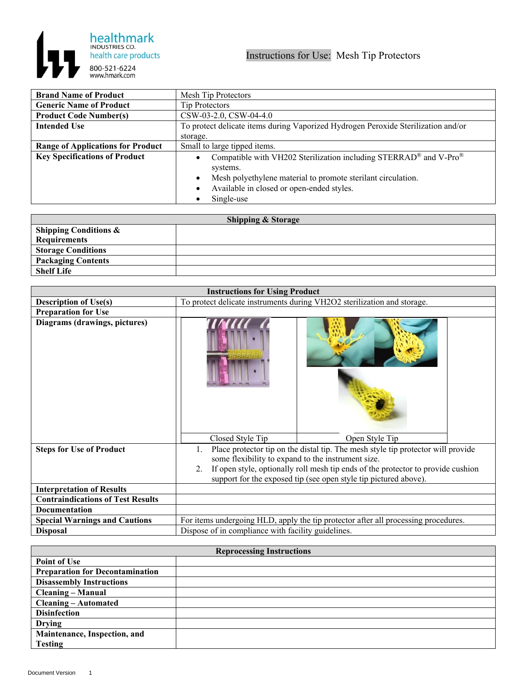

| <b>Brand Name of Product</b>             | Mesh Tip Protectors                                                               |
|------------------------------------------|-----------------------------------------------------------------------------------|
| <b>Generic Name of Product</b>           | <b>Tip Protectors</b>                                                             |
| <b>Product Code Number(s)</b>            | CSW-03-2.0, CSW-04-4.0                                                            |
| <b>Intended Use</b>                      | To protect delicate items during Vaporized Hydrogen Peroxide Sterilization and/or |
|                                          | storage.                                                                          |
| <b>Range of Applications for Product</b> | Small to large tipped items.                                                      |
| <b>Key Specifications of Product</b>     | Compatible with VH202 Sterilization including STERRAD® and V-Pro®                 |
|                                          | systems.                                                                          |
|                                          | Mesh polyethylene material to promote sterilant circulation.                      |
|                                          | Available in closed or open-ended styles.                                         |
|                                          | Single-use                                                                        |

| <b>Shipping &amp; Storage</b>    |  |  |
|----------------------------------|--|--|
| <b>Shipping Conditions &amp;</b> |  |  |
| Requirements                     |  |  |
| <b>Storage Conditions</b>        |  |  |
| <b>Packaging Contents</b>        |  |  |
| <b>Shelf Life</b>                |  |  |

| <b>Instructions for Using Product</b>    |                                                                                                                                                            |
|------------------------------------------|------------------------------------------------------------------------------------------------------------------------------------------------------------|
| <b>Description of Use(s)</b>             | To protect delicate instruments during VH2O2 sterilization and storage.                                                                                    |
| <b>Preparation for Use</b>               |                                                                                                                                                            |
| Diagrams (drawings, pictures)            | Closed Style Tip<br>Open Style Tip                                                                                                                         |
| <b>Steps for Use of Product</b>          | Place protector tip on the distal tip. The mesh style tip protector will provide                                                                           |
|                                          | some flexibility to expand to the instrument size.                                                                                                         |
|                                          | If open style, optionally roll mesh tip ends of the protector to provide cushion<br>2.<br>support for the exposed tip (see open style tip pictured above). |
| <b>Interpretation of Results</b>         |                                                                                                                                                            |
| <b>Contraindications of Test Results</b> |                                                                                                                                                            |
| Documentation                            |                                                                                                                                                            |
| <b>Special Warnings and Cautions</b>     | For items undergoing HLD, apply the tip protector after all processing procedures.                                                                         |
| <b>Disposal</b>                          | Dispose of in compliance with facility guidelines.                                                                                                         |

| <b>Reprocessing Instructions</b>       |  |
|----------------------------------------|--|
| Point of Use                           |  |
| <b>Preparation for Decontamination</b> |  |
| <b>Disassembly Instructions</b>        |  |
| <b>Cleaning – Manual</b>               |  |
| <b>Cleaning – Automated</b>            |  |
| <b>Disinfection</b>                    |  |
| <b>Drying</b>                          |  |
| Maintenance, Inspection, and           |  |
| <b>Testing</b>                         |  |